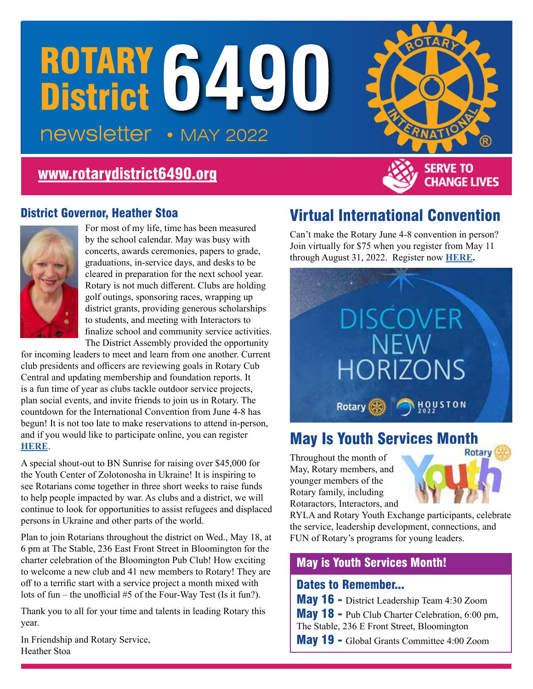# ROTARY 6490 • MAY 2022

# [www.rotarydistrict6490.org](http://www.rotarydistrict6490.org)



**CHANGE LIVES** 

#### District Governor, Heather Stoa



For most of my life, time has been measured by the school calendar. May was busy with concerts, awards ceremonies, papers to grade, graduations, in-service days, and desks to be cleared in preparation for the next school year. Rotary is not much different. Clubs are holding golf outings, sponsoring races, wrapping up district grants, providing generous scholarships to students, and meeting with Interactors to finalize school and community service activities. The District Assembly provided the opportunity

for incoming leaders to meet and learn from one another. Current club presidents and officers are reviewing goals in Rotary Cub Central and updating membership and foundation reports. It is a fun time of year as clubs tackle outdoor service projects, plan social events, and invite friends to join us in Rotary. The countdown for the International Convention from June 4-8 has begun! It is not too late to make reservations to attend in-person, and if you would like to participate online, you can register **[HERE](https://convention.rotary.org/en)**.

A special shout-out to BN Sunrise for raising over \$45,000 for the Youth Center of Zolotonosha in Ukraine! It is inspiring to see Rotarians come together in three short weeks to raise funds to help people impacted by war. As clubs and a district, we will continue to look for opportunities to assist refugees and displaced persons in Ukraine and other parts of the world.

Plan to join Rotarians throughout the district on Wed., May 18, at 6 pm at The Stable, 236 East Front Street in Bloomington for the charter celebration of the Bloomington Pub Club! How exciting to welcome a new club and 41 new members to Rotary! They are off to a terrific start with a service project a month mixed with lots of fun – the unofficial #5 of the Four-Way Test (Is it fun?).

Thank you to all for your time and talents in leading Rotary this year.

In Friendship and Rotary Service, Heather Stoa

# Virtual International Convention

Can't make the Rotary June 4-8 convention in person? Join virtually for \$75 when you register from May 11 through August 31, 2022. Register now **[HERE](https://convention.rotary.org/en/houston/virtual-program).**



# **May Is Youth Services Month**

Throughout the month of May, Rotary members, and younger members of the Rotary family, including Rotaractors, Interactors, and



RYLA and Rotary Youth Exchange participants, celebrate the service, leadership development, connections, and FUN of Rotary's programs for young leaders.

#### May is Youth Services Month!

#### Dates to Remember...

May 16 - District Leadership Team 4:30 Zoom

May 18 - Pub Club Charter Celebration, 6:00 pm, The Stable, 236 E Front Street, Bloomington

May 19 - Global Grants Committee 4:00 Zoom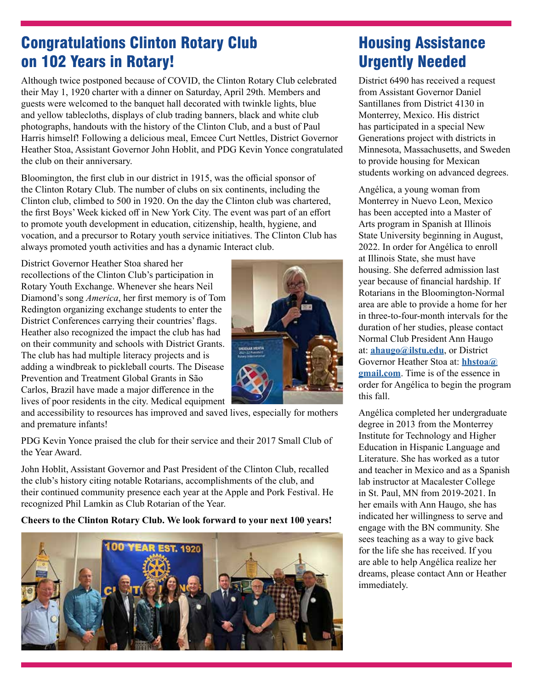# Congratulations Clinton Rotary Club on 102 Years in Rotary!

Although twice postponed because of COVID, the Clinton Rotary Club celebrated their May 1, 1920 charter with a dinner on Saturday, April 29th. Members and guests were welcomed to the banquet hall decorated with twinkle lights, blue and yellow tablecloths, displays of club trading banners, black and white club photographs, handouts with the history of the Clinton Club, and a bust of Paul Harris himself! Following a delicious meal, Emcee Curt Nettles, District Governor Heather Stoa, Assistant Governor John Hoblit, and PDG Kevin Yonce congratulated the club on their anniversary.

Bloomington, the first club in our district in 1915, was the official sponsor of the Clinton Rotary Club. The number of clubs on six continents, including the Clinton club, climbed to 500 in 1920. On the day the Clinton club was chartered, the first Boys' Week kicked off in New York City. The event was part of an effort to promote youth development in education, citizenship, health, hygiene, and vocation, and a precursor to Rotary youth service initiatives. The Clinton Club has always promoted youth activities and has a dynamic Interact club.

District Governor Heather Stoa shared her recollections of the Clinton Club's participation in Rotary Youth Exchange. Whenever she hears Neil Diamond's song *America*, her first memory is of Tom Redington organizing exchange students to enter the District Conferences carrying their countries' flags. Heather also recognized the impact the club has had on their community and schools with District Grants. The club has had multiple literacy projects and is adding a windbreak to pickleball courts. The Disease Prevention and Treatment Global Grants in São Carlos, Brazil have made a major difference in the lives of poor residents in the city. Medical equipment



PDG Kevin Yonce praised the club for their service and their 2017 Small Club of the Year Award.

John Hoblit, Assistant Governor and Past President of the Clinton Club, recalled the club's history citing notable Rotarians, accomplishments of the club, and their continued community presence each year at the Apple and Pork Festival. He recognized Phil Lamkin as Club Rotarian of the Year.

**Cheers to the Clinton Rotary Club. We look forward to your next 100 years!**



# Housing Assistance Urgently Needed

District 6490 has received a request from Assistant Governor Daniel Santillanes from District 4130 in Monterrey, Mexico. His district has participated in a special New Generations project with districts in Minnesota, Massachusetts, and Sweden to provide housing for Mexican students working on advanced degrees.

Angélica, a young woman from Monterrey in Nuevo Leon, Mexico has been accepted into a Master of Arts program in Spanish at Illinois State University beginning in August, 2022. In order for Angélica to enroll at Illinois State, she must have housing. She deferred admission last year because of financial hardship. If Rotarians in the Bloomington-Normal area are able to provide a home for her in three-to-four-month intervals for the duration of her studies, please contact Normal Club President Ann Haugo at: **[ahaugo@ilstu.edu](mailto:ahaugo@ilstu.edu)**, or District Governor Heather Stoa at: **[hhstoa@](mailto:hhstoa@gmail.com) [gmail.com](mailto:hhstoa@gmail.com)**. Time is of the essence in order for Angélica to begin the program this fall.

Angélica completed her undergraduate degree in 2013 from the Monterrey Institute for Technology and Higher Education in Hispanic Language and Literature. She has worked as a tutor and teacher in Mexico and as a Spanish lab instructor at Macalester College in St. Paul, MN from 2019-2021. In her emails with Ann Haugo, she has indicated her willingness to serve and engage with the BN community. She sees teaching as a way to give back for the life she has received. If you are able to help Angélica realize her dreams, please contact Ann or Heather immediately.

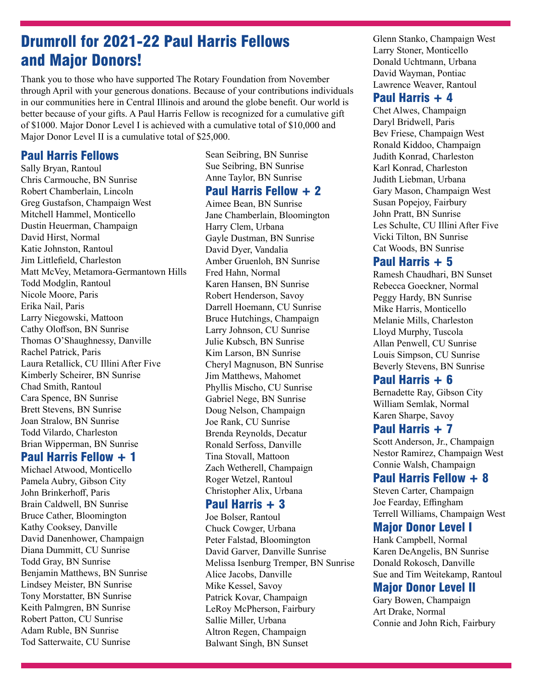### Drumroll for 2021-22 Paul Harris Fellows and Major Donors!

Thank you to those who have supported The Rotary Foundation from November through April with your generous donations. Because of your contributions individuals in our communities here in Central Illinois and around the globe benefit. Our world is better because of your gifts. A Paul Harris Fellow is recognized for a cumulative gift of \$1000. Major Donor Level I is achieved with a cumulative total of \$10,000 and Major Donor Level II is a cumulative total of \$25,000.

#### Paul Harris Fellows

Sally Bryan, Rantoul Chris Carmouche, BN Sunrise Robert Chamberlain, Lincoln Greg Gustafson, Champaign West Mitchell Hammel, Monticello Dustin Heuerman, Champaign David Hirst, Normal Katie Johnston, Rantoul Jim Littlefield, Charleston Matt McVey, Metamora-Germantown Hills Todd Modglin, Rantoul Nicole Moore, Paris Erika Nail, Paris Larry Niegowski, Mattoon Cathy Oloffson, BN Sunrise Thomas O'Shaughnessy, Danville Rachel Patrick, Paris Laura Retallick, CU Illini After Five Kimberly Scheirer, BN Sunrise Chad Smith, Rantoul Cara Spence, BN Sunrise Brett Stevens, BN Sunrise Joan Stralow, BN Sunrise Todd Vilardo, Charleston Brian Wipperman, BN Sunrise

#### Paul Harris Fellow + 1

Michael Atwood, Monticello Pamela Aubry, Gibson City John Brinkerhoff, Paris Brain Caldwell, BN Sunrise Bruce Cather, Bloomington Kathy Cooksey, Danville David Danenhower, Champaign Diana Dummitt, CU Sunrise Todd Gray, BN Sunrise Benjamin Matthews, BN Sunrise Lindsey Meister, BN Sunrise Tony Morstatter, BN Sunrise Keith Palmgren, BN Sunrise Robert Patton, CU Sunrise Adam Ruble, BN Sunrise Tod Satterwaite, CU Sunrise

Sean Seibring, BN Sunrise Sue Seibring, BN Sunrise Anne Taylor, BN Sunrise

#### Paul Harris Fellow + 2

Aimee Bean, BN Sunrise Jane Chamberlain, Bloomington Harry Clem, Urbana Gayle Dustman, BN Sunrise David Dyer, Vandalia Amber Gruenloh, BN Sunrise Fred Hahn, Normal Karen Hansen, BN Sunrise Robert Henderson, Savoy Darrell Hoemann, CU Sunrise Bruce Hutchings, Champaign Larry Johnson, CU Sunrise Julie Kubsch, BN Sunrise Kim Larson, BN Sunrise Cheryl Magnuson, BN Sunrise Jim Matthews, Mahomet Phyllis Mischo, CU Sunrise Gabriel Nege, BN Sunrise Doug Nelson, Champaign Joe Rank, CU Sunrise Brenda Reynolds, Decatur Ronald Serfoss, Danville Tina Stovall, Mattoon Zach Wetherell, Champaign Roger Wetzel, Rantoul Christopher Alix, Urbana

#### Paul Harris + 3

Joe Bolser, Rantoul Chuck Cowger, Urbana Peter Falstad, Bloomington David Garver, Danville Sunrise Melissa Isenburg Tremper, BN Sunrise Alice Jacobs, Danville Mike Kessel, Savoy Patrick Kovar, Champaign LeRoy McPherson, Fairbury Sallie Miller, Urbana Altron Regen, Champaign Balwant Singh, BN Sunset

Glenn Stanko, Champaign West Larry Stoner, Monticello Donald Uchtmann, Urbana David Wayman, Pontiac Lawrence Weaver, Rantoul

#### Paul Harris + 4

Chet Alwes, Champaign Daryl Bridwell, Paris Bev Friese, Champaign West Ronald Kiddoo, Champaign Judith Konrad, Charleston Karl Konrad, Charleston Judith Liebman, Urbana Gary Mason, Champaign West Susan Popejoy, Fairbury John Pratt, BN Sunrise Les Schulte, CU Illini After Five Vicki Tilton, BN Sunrise Cat Woods, BN Sunrise

#### Paul Harris + 5

Ramesh Chaudhari, BN Sunset Rebecca Goeckner, Normal Peggy Hardy, BN Sunrise Mike Harris, Monticello Melanie Mills, Charleston Lloyd Murphy, Tuscola Allan Penwell, CU Sunrise Louis Simpson, CU Sunrise Beverly Stevens, BN Sunrise

#### Paul Harris + 6

Bernadette Ray, Gibson City William Semlak, Normal Karen Sharpe, Savoy

#### Paul Harris + 7

Scott Anderson, Jr., Champaign Nestor Ramirez, Champaign West Connie Walsh, Champaign

#### Paul Harris Fellow + 8

Steven Carter, Champaign Joe Fearday, Effingham Terrell Williams, Champaign West

#### Major Donor Level I

Hank Campbell, Normal Karen DeAngelis, BN Sunrise Donald Rokosch, Danville Sue and Tim Weitekamp, Rantoul

#### Major Donor Level II

Gary Bowen, Champaign Art Drake, Normal Connie and John Rich, Fairbury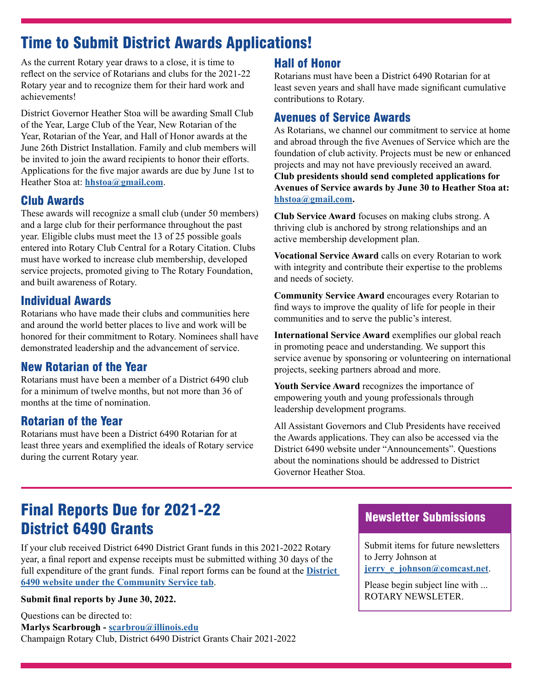# Time to Submit District Awards Applications!

As the current Rotary year draws to a close, it is time to reflect on the service of Rotarians and clubs for the 2021-22 Rotary year and to recognize them for their hard work and achievements!

District Governor Heather Stoa will be awarding Small Club of the Year, Large Club of the Year, New Rotarian of the Year, Rotarian of the Year, and Hall of Honor awards at the June 26th District Installation. Family and club members will be invited to join the award recipients to honor their efforts. Applications for the five major awards are due by June 1st to Heather Stoa at: **[hhstoa@gmail.com](mailto:hhstoa@gmail.com)**.

#### Club Awards

These awards will recognize a small club (under 50 members) and a large club for their performance throughout the past year. Eligible clubs must meet the 13 of 25 possible goals entered into Rotary Club Central for a Rotary Citation. Clubs must have worked to increase club membership, developed service projects, promoted giving to The Rotary Foundation, and built awareness of Rotary.

#### Individual Awards

Rotarians who have made their clubs and communities here and around the world better places to live and work will be honored for their commitment to Rotary. Nominees shall have demonstrated leadership and the advancement of service.

#### New Rotarian of the Year

Rotarians must have been a member of a District 6490 club for a minimum of twelve months, but not more than 36 of months at the time of nomination.

#### Rotarian of the Year

Rotarians must have been a District 6490 Rotarian for at least three years and exemplified the ideals of Rotary service during the current Rotary year.

#### Hall of Honor

Rotarians must have been a District 6490 Rotarian for at least seven years and shall have made significant cumulative contributions to Rotary.

#### Avenues of Service Awards

As Rotarians, we channel our commitment to service at home and abroad through the five Avenues of Service which are the foundation of club activity. Projects must be new or enhanced projects and may not have previously received an award. **Club presidents should send completed applications for Avenues of Service awards by June 30 to Heather Stoa at: [hhstoa@gmail.com.](mailto:hhstoa@gmail.com)**

**Club Service Award** focuses on making clubs strong. A thriving club is anchored by strong relationships and an active membership development plan.

**Vocational Service Award** calls on every Rotarian to work with integrity and contribute their expertise to the problems and needs of society.

**Community Service Award** encourages every Rotarian to find ways to improve the quality of life for people in their communities and to serve the public's interest.

**International Service Award** exemplifies our global reach in promoting peace and understanding. We support this service avenue by sponsoring or volunteering on international projects, seeking partners abroad and more.

**Youth Service Award** recognizes the importance of empowering youth and young professionals through leadership development programs.

All Assistant Governors and Club Presidents have received the Awards applications. They can also be accessed via the District 6490 website under "Announcements". Questions about the nominations should be addressed to District Governor Heather Stoa.

# Final Reports Due for 2021-22 District 6490 Grants

If your club received District 6490 District Grant funds in this 2021-2022 Rotary year, a final report and expense receipts must be submitted withing 30 days of the full expenditure of the grant funds. Final report forms can be found at the **[District](http://District 6490 website under the Community Service tab)  [6490 website under the Community Service tab](http://District 6490 website under the Community Service tab)**.

#### **Submit final reports by June 30, 2022.**

Questions can be directed to: **Marlys Scarbrough - [scarbrou@illinois.edu](mailto:scarbrou@illinois.edu)** Champaign Rotary Club, District 6490 District Grants Chair 2021-2022

#### Newsletter Submissions

Submit items for future newsletters to Jerry Johnson at **[jerry\\_e\\_johnson@comcast.net](mailto:jerry_e_johnson%40comcast.net?subject=)**.

Please begin subject line with ... ROTARY NEWSLETER.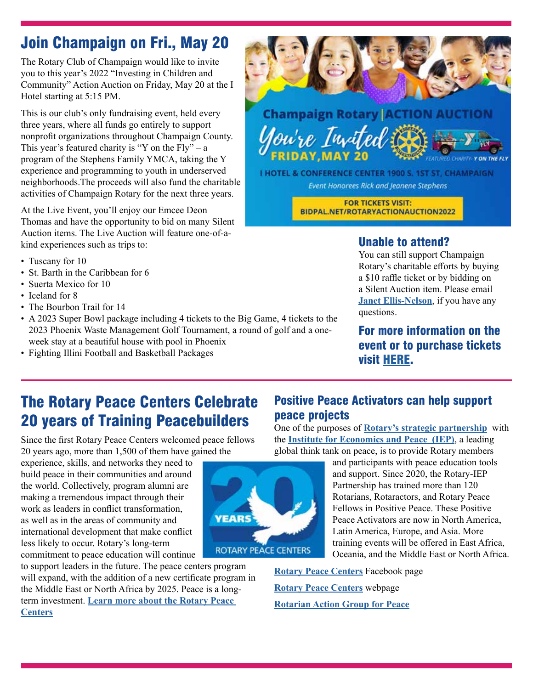# Join Champaign on Fri., May 20

The Rotary Club of Champaign would like to invite you to this year's 2022 "Investing in Children and Community" Action Auction on Friday, May 20 at the I Hotel starting at 5:15 PM.

This is our club's only fundraising event, held every three years, where all funds go entirely to support nonprofit organizations throughout Champaign County. This year's featured charity is "Y on the Fly" – a program of the Stephens Family YMCA, taking the Y experience and programming to youth in underserved neighborhoods.The proceeds will also fund the charitable activities of Champaign Rotary for the next three years.

At the Live Event, you'll enjoy our Emcee Deon Thomas and have the opportunity to bid on many Silent Auction items. The Live Auction will feature one-of-akind experiences such as trips to:

- Tuscany for 10
- St. Barth in the Caribbean for 6
- Suerta Mexico for 10
- Iceland for 8
- The Bourbon Trail for 14
- A 2023 Super Bowl package including 4 tickets to the Big Game, 4 tickets to the 2023 Phoenix Waste Management Golf Tournament, a round of golf and a oneweek stay at a beautiful house with pool in Phoenix

**YEARS** 

**ROTARY PEACE CENTERS** 

• Fighting Illini Football and Basketball Packages



# **Champaign Rotary ACTION AUCTION** You're Invited

I HOTEL & CONFERENCE CENTER 1900 S. 1ST ST, CHAMPAIGN **Event Honorees Rick and Jeanene Stephens** 

> **FOR TICKETS VISIT:** BIDPAL.NET/ROTARYACTIONAUCTION2022

#### Unable to attend?

You can still support Champaign Rotary's charitable efforts by buying a \$10 raffle ticket or by bidding on a Silent Auction item. Please email **[Janet Ellis-Nelson](mailto:janetnelson1994%40gmail.com?subject=)**, if you have any questions.

For more information on the event or to purchase tickets visit [HERE](https://one.bidpal.net/rotaryactionauction2022/welcome).

# The Rotary Peace Centers Celebrate 20 years of Training Peacebuilders

Since the first Rotary Peace Centers welcomed peace fellows 20 years ago, more than 1,500 of them have gained the

experience, skills, and networks they need to build peace in their communities and around the world. Collectively, program alumni are making a tremendous impact through their work as leaders in conflict transformation, as well as in the areas of community and international development that make conflict less likely to occur. Rotary's long-term commitment to peace education will continue

to support leaders in the future. The peace centers program will expand, with the addition of a new certificate program in the Middle East or North Africa by 2025. Peace is a longterm investment. **[Learn more about the Rotary Peace](https://www.rotary.org/en/seven-centers-peace)  [Centers](https://www.rotary.org/en/seven-centers-peace)**



Positive Peace Activators can help support

the **[Institute for Economics and Peace](https://www.economicsandpeace.org/) (IEP)**, a leading global think tank on peace, is to provide Rotary members and participants with peace education tools

and support. Since 2020, the Rotary-IEP Partnership has trained more than 120 Rotarians, Rotaractors, and Rotary Peace Fellows in Positive Peace. These Positive Peace Activators are now in North America, Latin America, Europe, and Asia. More training events will be offered in East Africa, Oceania, and the Middle East or North Africa.

**[Rotary Peace Centers](https://www.facebook.com/Rotarypeacecenters)** Facebook page **[Rotary Peace Centers](https://www.rotary.org/en/our-causes/promoting-peace?gclid=EAIaIQobChMIkvvZ18fi9wIVKihMCh0fOQSWEAAYASAAEgIVO_D_BwE)** webpage **[Rotarian Action Group for Peace](https://rotaryactiongroupforpeace.org/)**